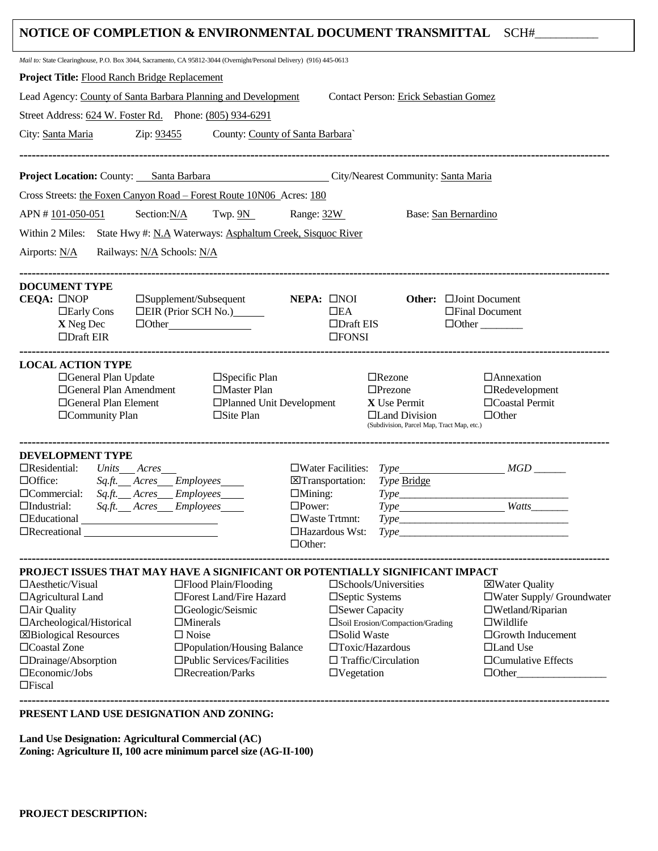|                                                                                                                     |                                    |                                             |                                            | NOTICE OF COMPLETION & ENVIRONMENTAL DOCUMENT TRANSMITTAL SCH# |
|---------------------------------------------------------------------------------------------------------------------|------------------------------------|---------------------------------------------|--------------------------------------------|----------------------------------------------------------------|
| Mail to: State Clearinghouse, P.O. Box 3044, Sacramento, CA 95812-3044 (Overnight/Personal Delivery) (916) 445-0613 |                                    |                                             |                                            |                                                                |
| <b>Project Title: Flood Ranch Bridge Replacement</b>                                                                |                                    |                                             |                                            |                                                                |
| Lead Agency: County of Santa Barbara Planning and Development                                                       |                                    |                                             | Contact Person: Erick Sebastian Gomez      |                                                                |
| Street Address: 624 W. Foster Rd. Phone: (805) 934-6291                                                             |                                    |                                             |                                            |                                                                |
|                                                                                                                     | County: County of Santa Barbara    |                                             |                                            |                                                                |
| City: Santa Maria<br>Zip: 93455                                                                                     |                                    |                                             |                                            |                                                                |
|                                                                                                                     |                                    |                                             |                                            |                                                                |
| Project Location: County: Santa Barbara City/Nearest Community: Santa Maria                                         |                                    |                                             |                                            |                                                                |
| Cross Streets: the Foxen Canyon Road - Forest Route 10N06 Acres: 180                                                |                                    |                                             |                                            |                                                                |
| Section:N/A<br>APN #101-050-051                                                                                     | Twp. $9N$ Range: $32W$             |                                             |                                            | Base: San Bernardino                                           |
| Within 2 Miles: State Hwy #: N.A Waterways: Asphaltum Creek, Sisquoc River                                          |                                    |                                             |                                            |                                                                |
| Railways: N/A Schools: N/A<br>Airports: $N/A$                                                                       |                                    |                                             |                                            |                                                                |
| <b>DOCUMENT TYPE</b>                                                                                                |                                    |                                             |                                            |                                                                |
| CEQA: □NOP                                                                                                          | $\square$ Supplement/Subsequent    | NEPA: □NOI                                  |                                            | Other: <b>Cloint Document</b>                                  |
| $\Box$ Early Cons                                                                                                   | $\Box$ EIR (Prior SCH No.)         | $\square$ EA                                |                                            | □Final Document                                                |
| X Neg Dec<br>$\Box$ Draft EIR                                                                                       | $\Box$ Other                       | $\Box$ Draft EIS<br>$\square$ FONSI         |                                            | $\Box$ Other                                                   |
|                                                                                                                     |                                    |                                             |                                            |                                                                |
| <b>LOCAL ACTION TYPE</b>                                                                                            |                                    |                                             |                                            |                                                                |
| □General Plan Update                                                                                                | $\Box$ Specific Plan               |                                             | $\Box$ Rezone                              | $\Box$ Annexation                                              |
| □General Plan Amendment<br>□Master Plan<br>□General Plan Element                                                    |                                    | □Planned Unit Development                   | $\square$ Prezone<br>X Use Permit          | $\Box$ Redevelopment<br>□Coastal Permit                        |
| □Community Plan                                                                                                     | $\Box$ Site Plan                   |                                             | $\Box$ Land Division                       | $\Box$ Other                                                   |
|                                                                                                                     |                                    |                                             | (Subdivision, Parcel Map, Tract Map, etc.) |                                                                |
| <b>DEVELOPMENT TYPE</b>                                                                                             |                                    |                                             |                                            |                                                                |
| $\Box$ Residential:<br>Units Acres                                                                                  |                                    |                                             |                                            | $\Box$ Water Facilities: $Type$ $MGD$                          |
| $\Box$ Office:                                                                                                      | Sq.ft. __ Acres __ Employees _____ | $\boxtimes$ Transportation:                 | Type Bridge                                |                                                                |
| Sq.ft. __ Acres __ Employees _____<br>$\Box$ Commercial:                                                            |                                    | $\Box$ Mining:                              |                                            |                                                                |
| $\Box$ Industrial:<br>Sq.ft. Acres Employees<br>$\square$ Educational $\square$                                     |                                    | $\square$ Power:<br>$\square$ Waste Trtmnt: |                                            | Type_______________________Watts_                              |
| $\Box$ Recreational $\Box$                                                                                          |                                    | $\Box$ Hazardous Wst:                       |                                            |                                                                |
|                                                                                                                     |                                    | $\Box$ Other:                               |                                            |                                                                |
| PROJECT ISSUES THAT MAY HAVE A SIGNIFICANT OR POTENTIALLY SIGNIFICANT IMPACT                                        |                                    |                                             |                                            |                                                                |
| $\Box$ Aesthetic/Visual                                                                                             | $\square$ Flood Plain/Flooding     |                                             | $\square$ Schools/Universities             | ⊠Water Quality                                                 |
| □ Agricultural Land                                                                                                 | □Forest Land/Fire Hazard           |                                             | □Septic Systems                            | $\Box$ Water Supply/ Groundwater                               |
| $\Box$ Air Quality                                                                                                  | □Geologic/Seismic                  |                                             | □ Sewer Capacity                           | $\square$ Wetland/Riparian                                     |
| $\Box$ Archeological/Historical<br><b>X</b> Biological Resources                                                    | $\Box$ Minerals<br>$\square$ Noise | □Solid Waste                                | Soil Erosion/Compaction/Grading            | $\square$ Wildlife<br>$\Box$ Growth Inducement                 |
| □Coastal Zone                                                                                                       | □Population/Housing Balance        |                                             | $\Box$ Toxic/Hazardous                     | □Land Use                                                      |
| $\Box$ Drainage/Absorption                                                                                          | □Public Services/Facilities        |                                             | $\Box$ Traffic/Circulation                 | $\Box$ Cumulative Effects                                      |
| $\square$ Economic/Jobs                                                                                             | $\Box$ Recreation/Parks            | $\Box$ Vegetation                           |                                            |                                                                |
| $\Box$ Fiscal                                                                                                       |                                    |                                             |                                            |                                                                |
| PRESENT LAND USE DESIGNATION AND ZONING:                                                                            |                                    |                                             |                                            |                                                                |
| Land Use Designation: Agricultural Commercial (AC)                                                                  |                                    |                                             |                                            |                                                                |

**Zoning: Agriculture II, 100 acre minimum parcel size (AG-II-100)**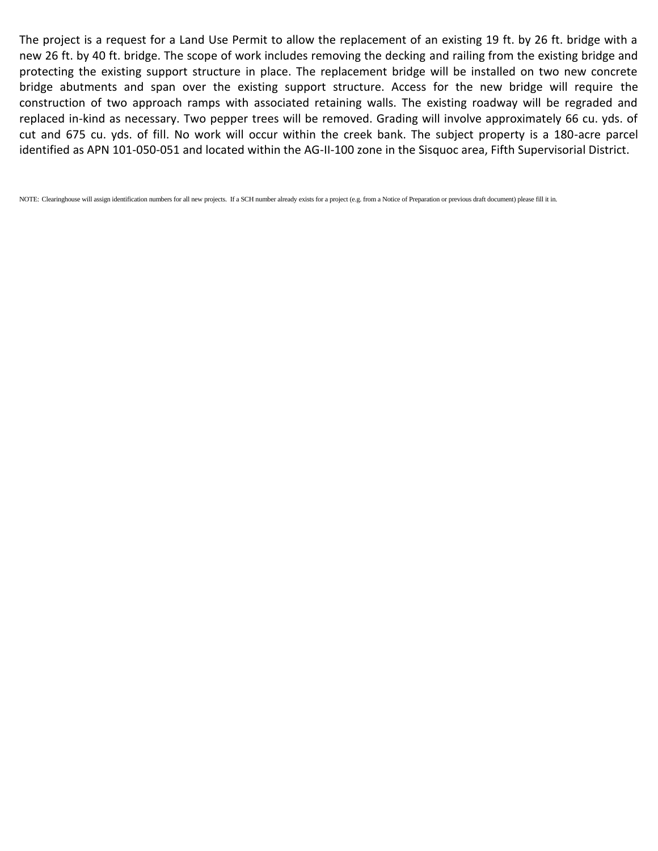The project is a request for a Land Use Permit to allow the replacement of an existing 19 ft. by 26 ft. bridge with a new 26 ft. by 40 ft. bridge. The scope of work includes removing the decking and railing from the existing bridge and protecting the existing support structure in place. The replacement bridge will be installed on two new concrete bridge abutments and span over the existing support structure. Access for the new bridge will require the construction of two approach ramps with associated retaining walls. The existing roadway will be regraded and replaced in-kind as necessary. Two pepper trees will be removed. Grading will involve approximately 66 cu. yds. of cut and 675 cu. yds. of fill. No work will occur within the creek bank. The subject property is a 180-acre parcel identified as APN 101-050-051 and located within the AG-II-100 zone in the Sisquoc area, Fifth Supervisorial District.

NOTE: Clearinghouse will assign identification numbers for all new projects. If a SCH number already exists for a project (e.g. from a Notice of Preparation or previous draft document) please fill it in.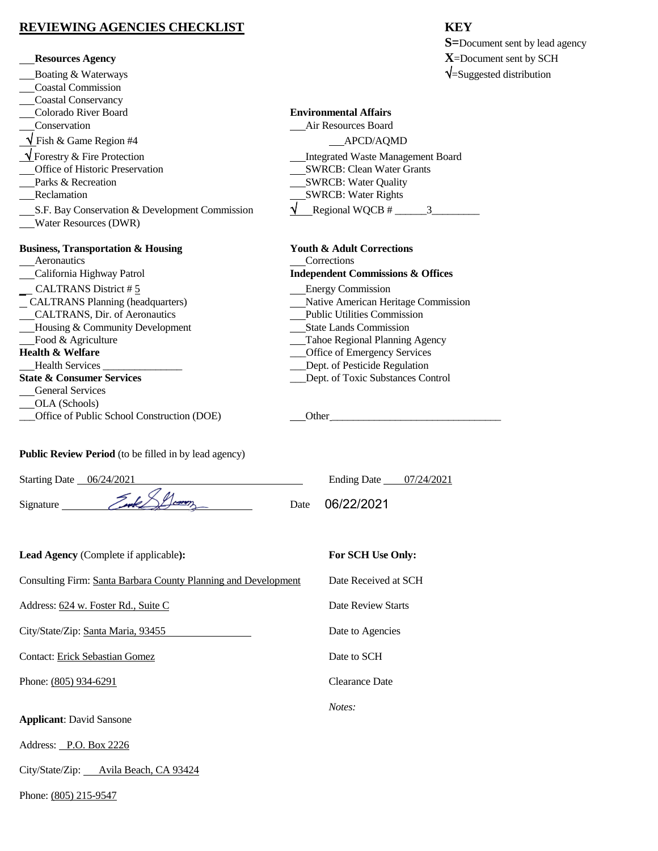## **REVIEWING AGENCIES CHECKLIST KEY**

|                                                                | <b>S</b> =Document sent by lead agency                                                                                                                                                                                         |  |  |  |
|----------------------------------------------------------------|--------------------------------------------------------------------------------------------------------------------------------------------------------------------------------------------------------------------------------|--|--|--|
| <b>Resources Agency</b>                                        | $X =$ Document sent by SCH                                                                                                                                                                                                     |  |  |  |
| Boating & Waterways                                            | $\sqrt{\frac{1}{2}}$ Suggested distribution                                                                                                                                                                                    |  |  |  |
| <b>Coastal Commission</b>                                      |                                                                                                                                                                                                                                |  |  |  |
| Coastal Conservancy                                            |                                                                                                                                                                                                                                |  |  |  |
| Colorado River Board                                           | <b>Environmental Affairs</b>                                                                                                                                                                                                   |  |  |  |
| Conservation                                                   | Air Resources Board                                                                                                                                                                                                            |  |  |  |
| $\sqrt{\text{Fish }\&\text{Game Region #4}}$                   | APCD/AQMD                                                                                                                                                                                                                      |  |  |  |
| V Forestry & Fire Protection                                   | Integrated Waste Management Board                                                                                                                                                                                              |  |  |  |
| Office of Historic Preservation                                | <b>SWRCB: Clean Water Grants</b>                                                                                                                                                                                               |  |  |  |
| Parks & Recreation                                             | SWRCB: Water Quality                                                                                                                                                                                                           |  |  |  |
| Reclamation                                                    | <b>SWRCB: Water Rights</b>                                                                                                                                                                                                     |  |  |  |
| S.F. Bay Conservation & Development Commission                 | $\sqrt{\phantom{0}\text{Regional WQCB}\,\# \_\_\_\_\_3\_\_\_\_\_3\_\_\_\_\_3\_\_\_\_\_3\_\_\_\_3\_\_\_\_3\_\_\_\_3\_\_$                                                                                                        |  |  |  |
| Water Resources (DWR)                                          |                                                                                                                                                                                                                                |  |  |  |
| <b>Business, Transportation &amp; Housing</b>                  | <b>Youth &amp; Adult Corrections</b>                                                                                                                                                                                           |  |  |  |
| Aeronautics                                                    | Corrections                                                                                                                                                                                                                    |  |  |  |
| California Highway Patrol                                      | <b>Independent Commissions &amp; Offices</b>                                                                                                                                                                                   |  |  |  |
| CALTRANS District #5                                           | <b>Energy Commission</b>                                                                                                                                                                                                       |  |  |  |
| CALTRANS Planning (headquarters)                               | Native American Heritage Commission                                                                                                                                                                                            |  |  |  |
| CALTRANS, Dir. of Aeronautics                                  | <b>Public Utilities Commission</b>                                                                                                                                                                                             |  |  |  |
| Housing & Community Development                                | <b>State Lands Commission</b>                                                                                                                                                                                                  |  |  |  |
| Food & Agriculture                                             | Tahoe Regional Planning Agency                                                                                                                                                                                                 |  |  |  |
| <b>Health &amp; Welfare</b>                                    | __Office of Emergency Services                                                                                                                                                                                                 |  |  |  |
|                                                                | _Dept. of Pesticide Regulation                                                                                                                                                                                                 |  |  |  |
| <b>State &amp; Consumer Services</b>                           | __Dept. of Toxic Substances Control                                                                                                                                                                                            |  |  |  |
| <b>General Services</b>                                        |                                                                                                                                                                                                                                |  |  |  |
| OLA (Schools)<br>Office of Public School Construction (DOE)    | Other contract the contract of the contract of the contract of the contract of the contract of the contract of the contract of the contract of the contract of the contract of the contract of the contract of the contract of |  |  |  |
|                                                                |                                                                                                                                                                                                                                |  |  |  |
| Public Review Period (to be filled in by lead agency)          |                                                                                                                                                                                                                                |  |  |  |
| Starting Date __ 06/24/2021                                    | Ending Date _____07/24/2021                                                                                                                                                                                                    |  |  |  |
|                                                                | 06/22/2021<br>Date                                                                                                                                                                                                             |  |  |  |
| Lead Agency (Complete if applicable):                          | For SCH Use Only:                                                                                                                                                                                                              |  |  |  |
| Consulting Firm: Santa Barbara County Planning and Development | Date Received at SCH                                                                                                                                                                                                           |  |  |  |

*Notes:*

Address: 624 w. Foster Rd., Suite C Date Review Starts

City/State/Zip: Santa Maria, 93455 Date to Agencies

Contact: Erick Sebastian Gomez Date to SCH

Phone: <u>(805) 934-6291</u> Clearance Date

**Applicant**: David Sansone

Address: P.O. Box 2226

City/State/Zip: Avila Beach, CA 93424

Phone: (805) 215-9547